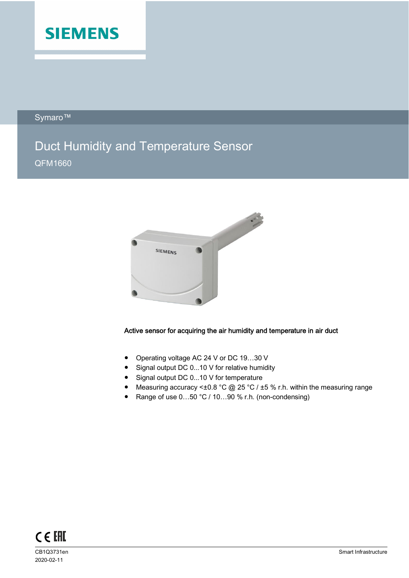

Symaro™

# Duct Humidity and Temperature Sensor QFM1660



# Active sensor for acquiring the air humidity and temperature in air duct

- Operating voltage AC 24 V or DC 19...30 V
- Signal output DC 0...10 V for relative humidity
- Signal output DC 0...10 V for temperature
- Measuring accuracy < $\pm 0.8$  °C @ 25 °C /  $\pm 5$  % r.h. within the measuring range
- Range of use 0...50 °C / 10...90 % r.h. (non-condensing)



2020-02-11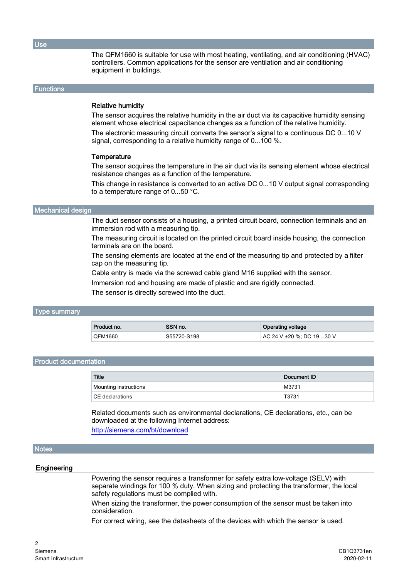Use

The QFM1660 is suitable for use with most heating, ventilating, and air conditioning (HVAC) controllers. Common applications for the sensor are ventilation and air conditioning equipment in buildings.

### **Functions**

## Relative humidity

The sensor acquires the relative humidity in the air duct via its capacitive humidity sensing element whose electrical capacitance changes as a function of the relative humidity.

The electronic measuring circuit converts the sensor's signal to a continuous DC 0...10 V signal, corresponding to a relative humidity range of 0...100 %.

#### **Temperature**

The sensor acquires the temperature in the air duct via its sensing element whose electrical resistance changes as a function of the temperature.

This change in resistance is converted to an active DC 0...10 V output signal corresponding to a temperature range of 0...50 °C.

#### Mechanical design

The duct sensor consists of a housing, a printed circuit board, connection terminals and an immersion rod with a measuring tip.

The measuring circuit is located on the printed circuit board inside housing, the connection terminals are on the board.

The sensing elements are located at the end of the measuring tip and protected by a filter cap on the measuring tip.

Cable entry is made via the screwed cable gland M16 supplied with the sensor.

Immersion rod and housing are made of plastic and are rigidly connected.

The sensor is directly screwed into the duct.

## Type summary

| Product no.    | SSN no.     | <b>Operating voltage</b> |
|----------------|-------------|--------------------------|
| <b>QFM1660</b> | S55720-S198 | AC 24 V ±20 %; DC 1930 V |

## Product documentation

| <b>Title</b>           | Document ID |
|------------------------|-------------|
| Mounting instructions  | M3731       |
| $\mid$ CE declarations | T3731       |

Related documents such as environmental declarations, CE declarations, etc., can be downloaded at the following Internet address: <http://siemens.com/bt/download>

## **Notes**

#### **Engineering**

Powering the sensor requires a transformer for safety extra low-voltage (SELV) with separate windings for 100 % duty. When sizing and protecting the transformer, the local safety regulations must be complied with.

When sizing the transformer, the power consumption of the sensor must be taken into consideration.

For correct wiring, see the datasheets of the devices with which the sensor is used.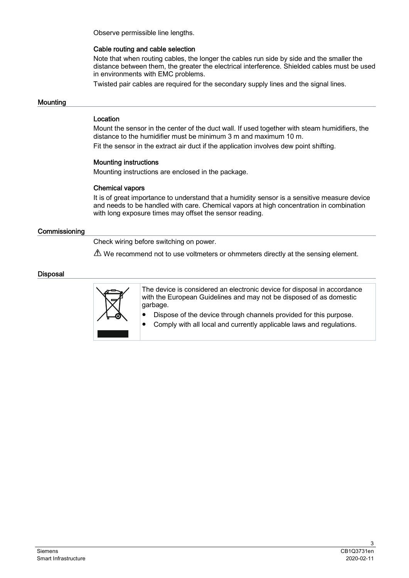Observe permissible line lengths.

## Cable routing and cable selection

Note that when routing cables, the longer the cables run side by side and the smaller the distance between them, the greater the electrical interference. Shielded cables must be used in environments with EMC problems.

Twisted pair cables are required for the secondary supply lines and the signal lines.

## **Mounting**

## Location

Mount the sensor in the center of the duct wall. If used together with steam humidifiers, the distance to the humidifier must be minimum 3 m and maximum 10 m. Fit the sensor in the extract air duct if the application involves dew point shifting.

# Mounting instructions

Mounting instructions are enclosed in the package.

## Chemical vapors

It is of great importance to understand that a humidity sensor is a sensitive measure device and needs to be handled with care. Chemical vapors at high concentration in combination with long exposure times may offset the sensor reading.

## **Commissioning**

Check wiring before switching on power.

 $\triangle$  We recommend not to use voltmeters or ohmmeters directly at the sensing element.

## **Disposal**



The device is considered an electronic device for disposal in accordance with the European Guidelines and may not be disposed of as domestic garbage.

- Dispose of the device through channels provided for this purpose.
- Comply with all local and currently applicable laws and regulations.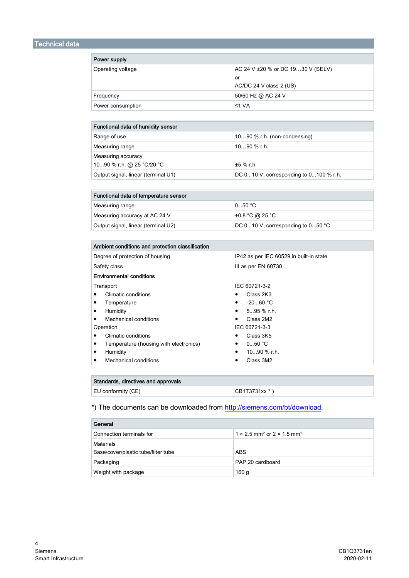| Power supply      |                                   |
|-------------------|-----------------------------------|
| Operating voltage | AC 24 V ±20 % or DC 1930 V (SELV) |
|                   | or                                |
|                   | AC/DC 24 V class 2 (US)           |
| Frequency         | 50/60 Hz @ AC 24 V                |
| Power consumption | ≤1 $VA$                           |

| Functional data of humidity sensor  |                                            |
|-------------------------------------|--------------------------------------------|
| Range of use                        | 1090 % r.h. (non-condensing)               |
| Measuring range                     | $1090$ % r.h.                              |
| Measuring accuracy                  |                                            |
| 1090 % r.h. @ 25 °C/20 °C           | $±5$ % r.h.                                |
| Output signal, linear (terminal U1) | DC $010$ V, corresponding to $0100$ % r.h. |

| Functional data of temperature sensor |                                       |
|---------------------------------------|---------------------------------------|
| Measuring range                       | 050 °C                                |
| Measuring accuracy at AC 24 V         | $\pm 0.8$ °C @ 25 °C                  |
| Output signal, linear (terminal U2)   | DC $010$ V, corresponding to $050$ °C |

| Ambient conditions and protection classification |                                         |
|--------------------------------------------------|-----------------------------------------|
| Degree of protection of housing                  | IP42 as per IEC 60529 in built-in state |
| Safety class                                     | III as per EN 60730                     |
| <b>Environmental conditions</b>                  |                                         |
| Transport                                        | IEC 60721-3-2                           |
| Climatic conditions                              | Class 2K3                               |
| Temperature                                      | $-2060 °C$<br>٠                         |
| Humidity                                         | $595%$ r.h.<br>٠                        |
| Mechanical conditions                            | Class 2M2<br>٠                          |
| Operation                                        | IEC 60721-3-3                           |
| Climatic conditions                              | Class 3K5                               |
| Temperature (housing with electronics)           | 050 °C<br>٠                             |
| Humidity<br>٠                                    | $1090$ % r.h.<br>٠                      |
| Mechanical conditions<br>٠                       | Class 3M2                               |

| Standards, directives and approvals |               |
|-------------------------------------|---------------|
| EU conformity (CE)                  | CB1T3731xx *) |

\*) The documents can be downloaded from <http://siemens.com/bt/download>.

| General                             |                                                                  |
|-------------------------------------|------------------------------------------------------------------|
| Connection terminals for            | $1 \times 2.5$ mm <sup>2</sup> or $2 \times 1.5$ mm <sup>2</sup> |
| Materials                           |                                                                  |
| Base/cover/plastic tube/filter tube | <b>ABS</b>                                                       |
| Packaging                           | PAP 20 cardboard                                                 |
| Weight with package                 | 160 <sub>g</sub>                                                 |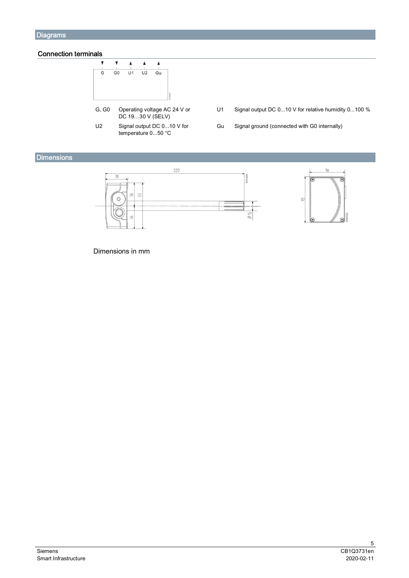# Connection terminals



- G, G0 Operating voltage AC 24 V or DC 19…30 V (SELV)
- U2 Signal output DC 0...10 V for temperature 0...50 °C
- U1 Signal output DC 0...10 V for relative humidity 0...100 %
- Gu Signal ground (connected with G0 internally)

# **Dimensions**



Dimensions in mm